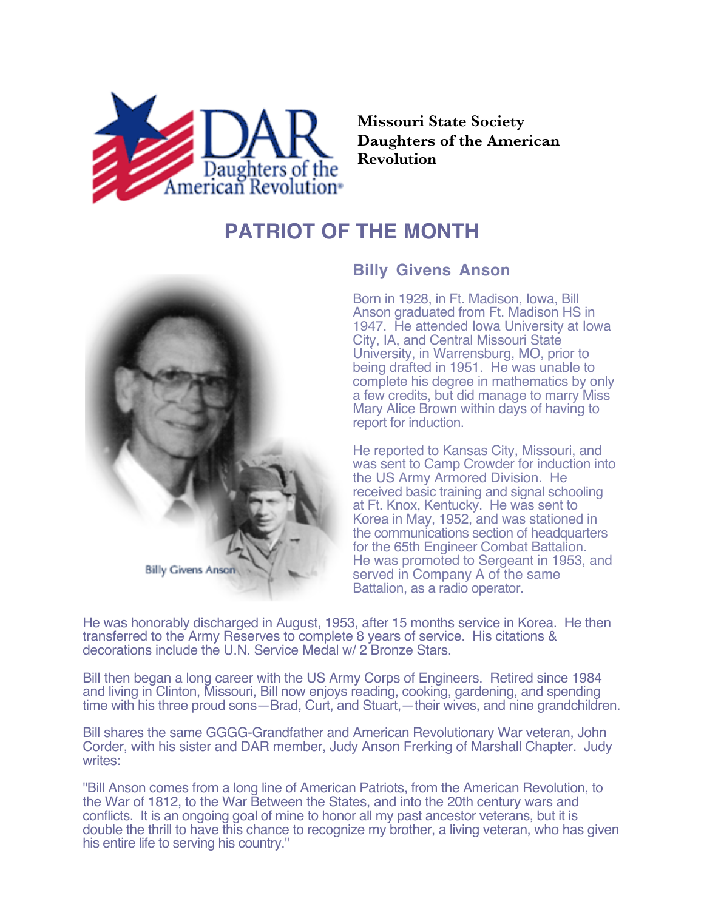

**Missouri State Society Daughters of the American Revolution**

## **PATRIOT OF THE MONTH**



## **Billy Givens Anson**

Born in 1928, in Ft. Madison, Iowa, Bill Anson graduated from Ft. Madison HS in 1947. He attended Iowa University at Iowa City, IA, and Central Missouri State University, in Warrensburg, MO, prior to being drafted in 1951. He was unable to complete his degree in mathematics by only a few credits, but did manage to marry Miss Mary Alice Brown within days of having to report for induction.

He reported to Kansas City, Missouri, and was sent to Camp Crowder for induction into the US Army Armored Division. He received basic training and signal schooling at Ft. Knox, Kentucky. He was sent to Korea in May, 1952, and was stationed in the communications section of headquarters for the 65th Engineer Combat Battalion. He was promoted to Sergeant in 1953, and served in Company A of the same Battalion, as a radio operator.

He was honorably discharged in August, 1953, after 15 months service in Korea. He then transferred to the Army Reserves to complete 8 years of service. His citations & decorations include the U.N. Service Medal w/ 2 Bronze Stars.

Bill then began a long career with the US Army Corps of Engineers. Retired since 1984 and living in Clinton, Missouri, Bill now enjoys reading, cooking, gardening, and spending time with his three proud sons—Brad, Curt, and Stuart,—their wives, and nine grandchildren.

Bill shares the same GGGG-Grandfather and American Revolutionary War veteran, John Corder, with his sister and DAR member, Judy Anson Frerking of Marshall Chapter. Judy writes:

"Bill Anson comes from a long line of American Patriots, from the American Revolution, to the War of 1812, to the War Between the States, and into the 20th century wars and conflicts. It is an ongoing goal of mine to honor all my past ancestor veterans, but it is double the thrill to have this chance to recognize my brother, a living veteran, who has given his entire life to serving his country."